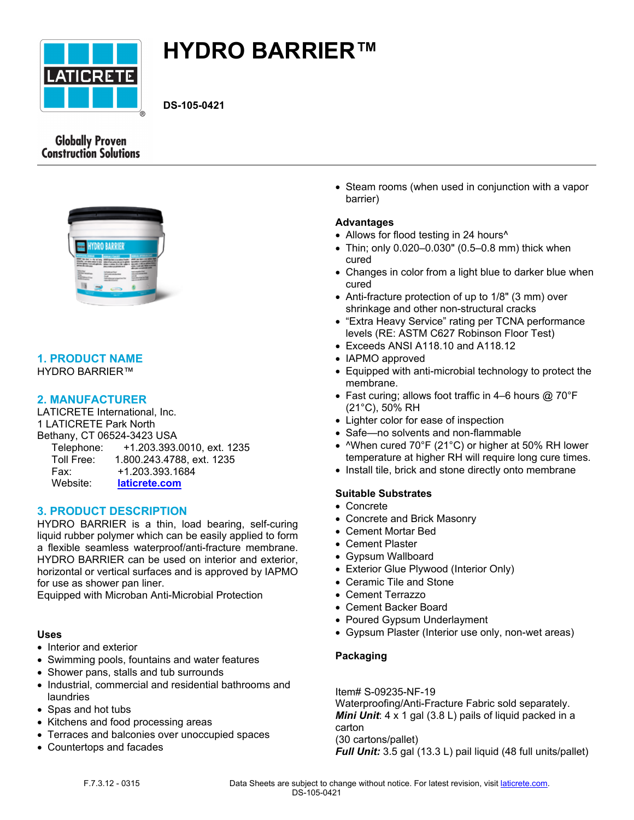

# **HYDRO BARRIER™**

**DS-105-0421**

# **Globally Proven Construction Solutions**



# **1. PRODUCT NAME**

HYDRO BARRIER™

# **2. MANUFACTURER**

LATICRETE International, Inc. 1 LATICRETE Park North Bethany, CT 06524-3423 USA Telephone: +1.203.393.0010, ext. 1235 Toll Free: 1.800.243.4788, ext. 1235 Fax: +1.203.393.1684 Website: **[laticrete.com](https://laticrete.com/)**

# **3. PRODUCT DESCRIPTION**

HYDRO BARRIER is a thin, load bearing, self-curing liquid rubber polymer which can be easily applied to form a flexible seamless waterproof/anti-fracture membrane. HYDRO BARRIER can be used on interior and exterior, horizontal or vertical surfaces and is approved by IAPMO for use as shower pan liner.

Equipped with Microban Anti-Microbial Protection

## **Uses**

- Interior and exterior
- Swimming pools, fountains and water features
- Shower pans, stalls and tub surrounds
- Industrial, commercial and residential bathrooms and laundries
- Spas and hot tubs
- Kitchens and food processing areas
- Terraces and balconies over unoccupied spaces
- Countertops and facades

• Steam rooms (when used in conjunction with a vapor barrier)

# **Advantages**

- Allows for flood testing in 24 hours<sup>^</sup>
- Thin; only 0.020–0.030" (0.5–0.8 mm) thick when cured
- Changes in color from a light blue to darker blue when cured
- Anti-fracture protection of up to 1/8" (3 mm) over shrinkage and other non-structural cracks
- "Extra Heavy Service" rating per TCNA performance levels (RE: ASTM C627 Robinson Floor Test)
- Exceeds ANSI A118.10 and A118.12
- IAPMO approved
- Equipped with anti-microbial technology to protect the membrane.
- Fast curing; allows foot traffic in 4–6 hours  $@$  70°F (21°C), 50% RH
- Lighter color for ease of inspection
- Safe—no solvents and non-flammable
- $\wedge$ When cured 70°F (21°C) or higher at 50% RH lower temperature at higher RH will require long cure times.
- Install tile, brick and stone directly onto membrane

## **Suitable Substrates**

- Concrete
- Concrete and Brick Masonry
- Cement Mortar Bed
- Cement Plaster
- Gypsum Wallboard
- Exterior Glue Plywood (Interior Only)
- Ceramic Tile and Stone
- Cement Terrazzo
- Cement Backer Board
- Poured Gypsum Underlayment
- Gypsum Plaster (Interior use only, non-wet areas)

## **Packaging**

Item# S-09235-NF-19

Waterproofing/Anti-Fracture Fabric sold separately. *Mini Unit*: 4 x 1 gal (3.8 L) pails of liquid packed in a carton (30 cartons/pallet)

*Full Unit:* 3.5 gal (13.3 L) pail liquid (48 full units/pallet)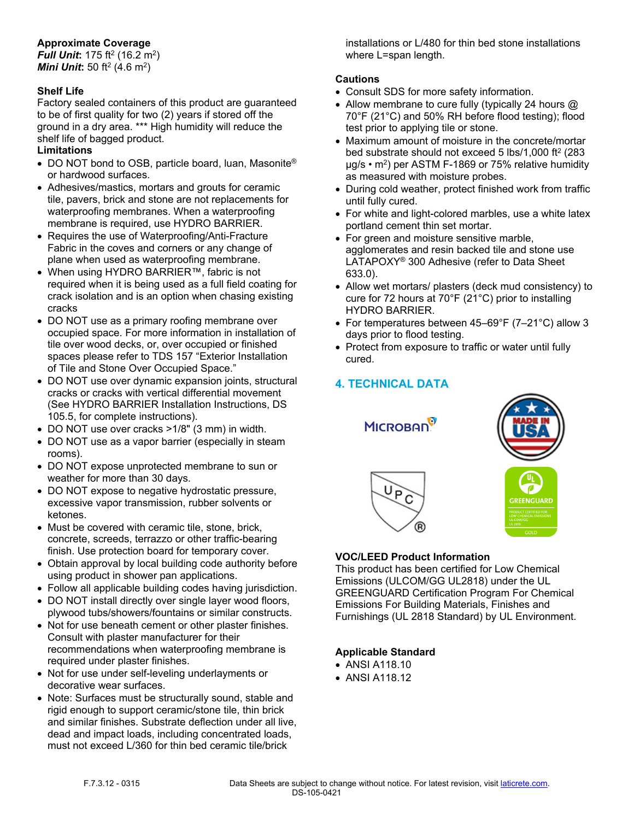# **Approximate Coverage**

**Full Unit:** 175 ft<sup>2</sup> (16.2 m<sup>2</sup>) *Mini Unit***:** 50 ft<sup>2</sup> (4.6 m<sup>2</sup> )

# **Shelf Life**

Factory sealed containers of this product are guaranteed to be of first quality for two (2) years if stored off the ground in a dry area. \*\*\* High humidity will reduce the shelf life of bagged product.

# **Limitations**

- DO NOT bond to OSB, particle board, luan, Masonite<sup>®</sup> or hardwood surfaces.
- Adhesives/mastics, mortars and grouts for ceramic tile, pavers, brick and stone are not replacements for waterproofing membranes. When a waterproofing membrane is required, use HYDRO BARRIER.
- Requires the use of Waterproofing/Anti-Fracture Fabric in the coves and corners or any change of plane when used as waterproofing membrane.
- When using HYDRO BARRIER™, fabric is not required when it is being used as a full field coating for crack isolation and is an option when chasing existing cracks
- DO NOT use as a primary roofing membrane over occupied space. For more information in installation of tile over wood decks, or, over occupied or finished spaces please refer to TDS 157 "Exterior Installation of Tile and Stone Over Occupied Space."
- DO NOT use over dynamic expansion joints, structural cracks or cracks with vertical differential movement (See HYDRO BARRIER Installation Instructions, DS 105.5, for complete instructions).
- DO NOT use over cracks >1/8" (3 mm) in width.
- DO NOT use as a vapor barrier (especially in steam rooms).
- DO NOT expose unprotected membrane to sun or weather for more than 30 days.
- DO NOT expose to negative hydrostatic pressure, excessive vapor transmission, rubber solvents or ketones.
- Must be covered with ceramic tile, stone, brick, concrete, screeds, terrazzo or other traffic-bearing finish. Use protection board for temporary cover.
- Obtain approval by local building code authority before using product in shower pan applications.
- Follow all applicable building codes having jurisdiction.
- DO NOT install directly over single layer wood floors, plywood tubs/showers/fountains or similar constructs.
- Not for use beneath cement or other plaster finishes. Consult with plaster manufacturer for their recommendations when waterproofing membrane is required under plaster finishes.
- Not for use under self-leveling underlayments or decorative wear surfaces.
- Note: Surfaces must be structurally sound, stable and rigid enough to support ceramic/stone tile, thin brick and similar finishes. Substrate deflection under all live, dead and impact loads, including concentrated loads, must not exceed L/360 for thin bed ceramic tile/brick

installations or L/480 for thin bed stone installations where L=span length.

# **Cautions**

- Consult SDS for more safety information.
- Allow membrane to cure fully (typically 24 hours @ 70°F (21°C) and 50% RH before flood testing); flood test prior to applying tile or stone.
- Maximum amount of moisture in the concrete/mortar bed substrate should not exceed 5 lbs/1,000 ft<sup>2</sup> (283 µg/s • m<sup>2</sup> ) per ASTM F-1869 or 75% relative humidity as measured with moisture probes.
- During cold weather, protect finished work from traffic until fully cured.
- For white and light-colored marbles, use a white latex portland cement thin set mortar.
- For green and moisture sensitive marble, agglomerates and resin backed tile and stone use LATAPOXY® 300 Adhesive (refer to Data Sheet 633.0).
- Allow wet mortars/ plasters (deck mud consistency) to cure for 72 hours at 70°F (21°C) prior to installing HYDRO BARRIER.
- For temperatures between 45–69°F (7–21°C) allow 3 days prior to flood testing.
- Protect from exposure to traffic or water until fully cured.

# **4. TECHNICAL DATA**

**MICROBAN** 





# **VOC/LEED Product Information**

This product has been certified for Low Chemical Emissions (ULCOM/GG UL2818) under the UL GREENGUARD Certification Program For Chemical Emissions For Building Materials, Finishes and Furnishings (UL 2818 Standard) by UL Environment.

# **Applicable Standard**

- ANSI A118.10
- ANSI A118.12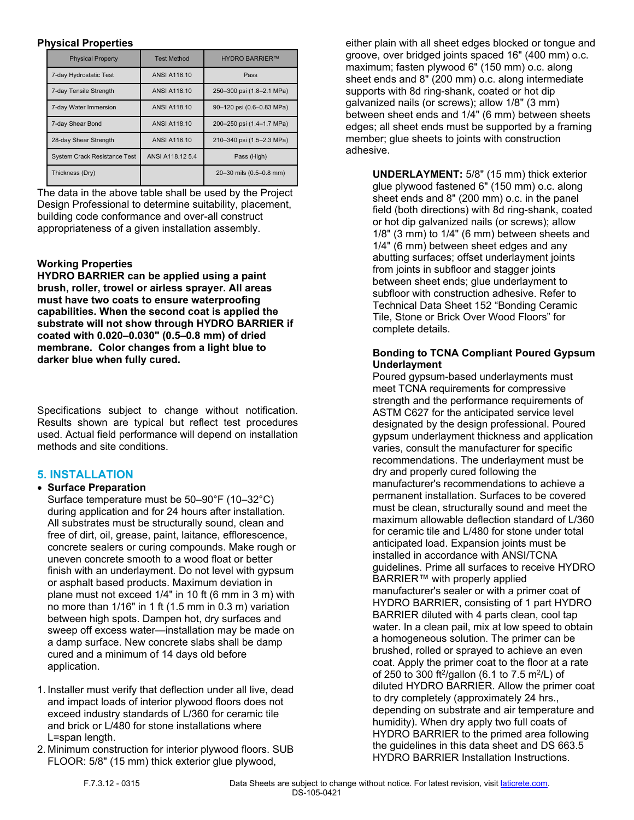#### **Physical Properties**

| <b>Physical Property</b>            | <b>Test Method</b>  | <b>HYDRO BARRIER™</b>     |
|-------------------------------------|---------------------|---------------------------|
| 7-day Hydrostatic Test              | <b>ANSI A118.10</b> | Pass                      |
| 7-day Tensile Strength              | <b>ANSI A118.10</b> | 250-300 psi (1.8-2.1 MPa) |
| 7-day Water Immersion               | <b>ANSI A118.10</b> | 90-120 psi (0.6-0.83 MPa) |
| 7-day Shear Bond                    | <b>ANSI A118.10</b> | 200-250 psi (1.4-1.7 MPa) |
| 28-day Shear Strength               | <b>ANSI A118.10</b> | 210-340 psi (1.5-2.3 MPa) |
| <b>System Crack Resistance Test</b> | ANSI A118.12 5.4    | Pass (High)               |
| Thickness (Dry)                     |                     | 20-30 mils (0.5-0.8 mm)   |

The data in the above table shall be used by the Project Design Professional to determine suitability, placement, building code conformance and over-all construct appropriateness of a given installation assembly.

# **Working Properties**

**HYDRO BARRIER can be applied using a paint brush, roller, trowel or airless sprayer. All areas must have two coats to ensure waterproofing capabilities. When the second coat is applied the substrate will not show through HYDRO BARRIER if coated with 0.020–0.030" (0.5–0.8 mm) of dried membrane. Color changes from a light blue to darker blue when fully cured.**

Specifications subject to change without notification. Results shown are typical but reflect test procedures used. Actual field performance will depend on installation methods and site conditions.

# **5. INSTALLATION**

## **Surface Preparation**

Surface temperature must be 50–90°F (10–32°C) during application and for 24 hours after installation. All substrates must be structurally sound, clean and free of dirt, oil, grease, paint, laitance, efflorescence, concrete sealers or curing compounds. Make rough or uneven concrete smooth to a wood float or better finish with an underlayment. Do not level with gypsum or asphalt based products. Maximum deviation in plane must not exceed 1/4" in 10 ft (6 mm in 3 m) with no more than 1/16" in 1 ft (1.5 mm in 0.3 m) variation between high spots. Dampen hot, dry surfaces and sweep off excess water—installation may be made on a damp surface. New concrete slabs shall be damp cured and a minimum of 14 days old before application.

- 1. Installer must verify that deflection under all live, dead and impact loads of interior plywood floors does not exceed industry standards of L/360 for ceramic tile and brick or L/480 for stone installations where L=span length.
- 2. Minimum construction for interior plywood floors. SUB FLOOR: 5/8" (15 mm) thick exterior glue plywood,

either plain with all sheet edges blocked or tongue and groove, over bridged joints spaced 16" (400 mm) o.c. maximum; fasten plywood 6" (150 mm) o.c. along sheet ends and 8" (200 mm) o.c. along intermediate supports with 8d ring-shank, coated or hot dip galvanized nails (or screws); allow 1/8" (3 mm) between sheet ends and 1/4" (6 mm) between sheets edges; all sheet ends must be supported by a framing member; glue sheets to joints with construction adhesive.

> **UNDERLAYMENT:** 5/8" (15 mm) thick exterior glue plywood fastened 6" (150 mm) o.c. along sheet ends and 8" (200 mm) o.c. in the panel field (both directions) with 8d ring-shank, coated or hot dip galvanized nails (or screws); allow 1/8" (3 mm) to 1/4" (6 mm) between sheets and 1/4" (6 mm) between sheet edges and any abutting surfaces; offset underlayment joints from joints in subfloor and stagger joints between sheet ends; glue underlayment to subfloor with construction adhesive. Refer to Technical Data Sheet 152 "Bonding Ceramic Tile, Stone or Brick Over Wood Floors" for complete details.

## **Bonding to TCNA Compliant Poured Gypsum Underlayment**

Poured gypsum-based underlayments must meet TCNA requirements for compressive strength and the performance requirements of ASTM C627 for the anticipated service level designated by the design professional. Poured gypsum underlayment thickness and application varies, consult the manufacturer for specific recommendations. The underlayment must be dry and properly cured following the manufacturer's recommendations to achieve a permanent installation. Surfaces to be covered must be clean, structurally sound and meet the maximum allowable deflection standard of L/360 for ceramic tile and L/480 for stone under total anticipated load. Expansion joints must be installed in accordance with ANSI/TCNA guidelines. Prime all surfaces to receive HYDRO BARRIER™ with properly applied manufacturer's sealer or with a primer coat of HYDRO BARRIER, consisting of 1 part HYDRO BARRIER diluted with 4 parts clean, cool tap water. In a clean pail, mix at low speed to obtain a homogeneous solution. The primer can be brushed, rolled or sprayed to achieve an even coat. Apply the primer coat to the floor at a rate of 250 to 300 ft<sup>2</sup>/gallon (6.1 to 7.5 m<sup>2</sup>/L) of diluted HYDRO BARRIER. Allow the primer coat to dry completely (approximately 24 hrs., depending on substrate and air temperature and humidity). When dry apply two full coats of HYDRO BARRIER to the primed area following the guidelines in this data sheet and DS 663.5 HYDRO BARRIER Installation Instructions.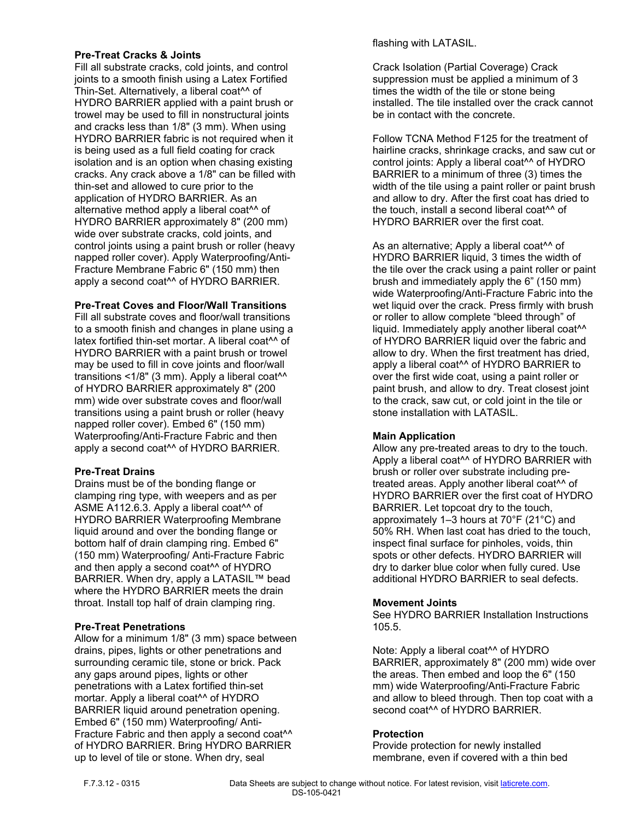#### **Pre-Treat Cracks & Joints**

Fill all substrate cracks, cold joints, and control joints to a smooth finish using a Latex Fortified Thin-Set. Alternatively, a liberal coat^^ of HYDRO BARRIER applied with a paint brush or trowel may be used to fill in nonstructural joints and cracks less than 1/8" (3 mm). When using HYDRO BARRIER fabric is not required when it is being used as a full field coating for crack isolation and is an option when chasing existing cracks. Any crack above a 1/8" can be filled with thin-set and allowed to cure prior to the application of HYDRO BARRIER. As an alternative method apply a liberal coat^^ of HYDRO BARRIER approximately 8" (200 mm) wide over substrate cracks, cold joints, and control joints using a paint brush or roller (heavy napped roller cover). Apply Waterproofing/Anti-Fracture Membrane Fabric 6" (150 mm) then apply a second coat^^ of HYDRO BARRIER.

## **Pre-Treat Coves and Floor/Wall Transitions**

Fill all substrate coves and floor/wall transitions to a smooth finish and changes in plane using a latex fortified thin-set mortar. A liberal coat<sup>^^</sup> of HYDRO BARRIER with a paint brush or trowel may be used to fill in cove joints and floor/wall transitions <1/8" (3 mm). Apply a liberal coat<sup>^^</sup> of HYDRO BARRIER approximately 8" (200 mm) wide over substrate coves and floor/wall transitions using a paint brush or roller (heavy napped roller cover). Embed 6" (150 mm) Waterproofing/Anti-Fracture Fabric and then apply a second coat^^ of HYDRO BARRIER.

## **Pre-Treat Drains**

Drains must be of the bonding flange or clamping ring type, with weepers and as per ASME A112.6.3. Apply a liberal coat^^ of HYDRO BARRIER Waterproofing Membrane liquid around and over the bonding flange or bottom half of drain clamping ring. Embed 6" (150 mm) Waterproofing/ Anti-Fracture Fabric and then apply a second coat^^ of HYDRO BARRIER. When dry, apply a LATASIL™ bead where the HYDRO BARRIER meets the drain throat. Install top half of drain clamping ring.

## **Pre-Treat Penetrations**

Allow for a minimum 1/8" (3 mm) space between drains, pipes, lights or other penetrations and surrounding ceramic tile, stone or brick. Pack any gaps around pipes, lights or other penetrations with a Latex fortified thin-set mortar. Apply a liberal coat<sup>^^</sup> of HYDRO BARRIER liquid around penetration opening. Embed 6" (150 mm) Waterproofing/ Anti-Fracture Fabric and then apply a second coat<sup>^^</sup> of HYDRO BARRIER. Bring HYDRO BARRIER up to level of tile or stone. When dry, seal

flashing with LATASIL.

Crack Isolation (Partial Coverage) Crack suppression must be applied a minimum of 3 times the width of the tile or stone being installed. The tile installed over the crack cannot be in contact with the concrete.

Follow TCNA Method F125 for the treatment of hairline cracks, shrinkage cracks, and saw cut or control joints: Apply a liberal coat^^ of HYDRO BARRIER to a minimum of three (3) times the width of the tile using a paint roller or paint brush and allow to dry. After the first coat has dried to the touch, install a second liberal coat^^ of HYDRO BARRIER over the first coat.

As an alternative; Apply a liberal coat<sup>^^</sup> of HYDRO BARRIER liquid, 3 times the width of the tile over the crack using a paint roller or paint brush and immediately apply the 6" (150 mm) wide Waterproofing/Anti-Fracture Fabric into the wet liquid over the crack. Press firmly with brush or roller to allow complete "bleed through" of liquid. Immediately apply another liberal coat<sup>^^</sup> of HYDRO BARRIER liquid over the fabric and allow to dry. When the first treatment has dried, apply a liberal coat^^ of HYDRO BARRIER to over the first wide coat, using a paint roller or paint brush, and allow to dry. Treat closest joint to the crack, saw cut, or cold joint in the tile or stone installation with LATASIL.

## **Main Application**

Allow any pre-treated areas to dry to the touch. Apply a liberal coat^^ of HYDRO BARRIER with brush or roller over substrate including pretreated areas. Apply another liberal coat^^ of HYDRO BARRIER over the first coat of HYDRO BARRIER. Let topcoat dry to the touch, approximately 1–3 hours at 70°F (21°C) and 50% RH. When last coat has dried to the touch, inspect final surface for pinholes, voids, thin spots or other defects. HYDRO BARRIER will dry to darker blue color when fully cured. Use additional HYDRO BARRIER to seal defects.

## **Movement Joints**

See HYDRO BARRIER Installation Instructions 105.5.

Note: Apply a liberal coat^^ of HYDRO BARRIER, approximately 8" (200 mm) wide over the areas. Then embed and loop the 6" (150 mm) wide Waterproofing/Anti-Fracture Fabric and allow to bleed through. Then top coat with a second coat<sup>^^</sup> of HYDRO BARRIER.

#### **Protection**

Provide protection for newly installed membrane, even if covered with a thin bed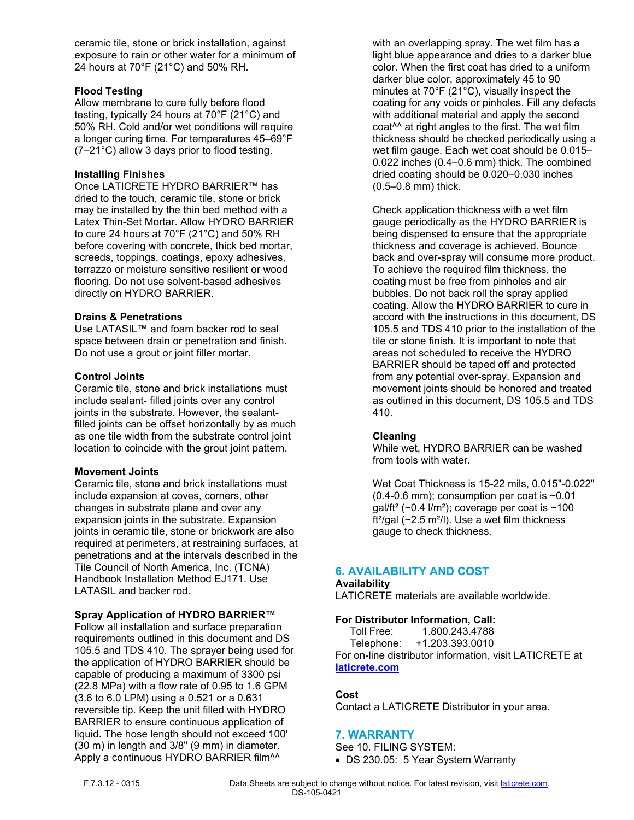ceramic tile, stone or brick installation, against exposure to rain or other water for a minimum of 24 hours at 70°F (21°C) and 50% RH.

#### **Flood Testing**

Allow membrane to cure fully before flood testing, typically 24 hours at 70°F (21°C) and 50% RH. Cold and/or wet conditions will require a longer curing time. For temperatures 45–69°F (7–21°C) allow 3 days prior to flood testing.

#### **Installing Finishes**

Once LATICRETE HYDRO BARRIER™ has dried to the touch, ceramic tile, stone or brick may be installed by the thin bed method with a Latex Thin-Set Mortar. Allow HYDRO BARRIER to cure 24 hours at 70°F (21°C) and 50% RH before covering with concrete, thick bed mortar, screeds, toppings, coatings, epoxy adhesives, terrazzo or moisture sensitive resilient or wood flooring. Do not use solvent-based adhesives directly on HYDRO BARRIER.

#### **Drains & Penetrations**

Use LATASIL™ and foam backer rod to seal space between drain or penetration and finish. Do not use a grout or joint filler mortar.

#### **Control Joints**

Ceramic tile, stone and brick installations must include sealant- filled joints over any control joints in the substrate. However, the sealantfilled joints can be offset horizontally by as much as one tile width from the substrate control joint location to coincide with the grout joint pattern.

#### **Movement Joints**

Ceramic tile, stone and brick installations must include expansion at coves, corners, other changes in substrate plane and over any expansion joints in the substrate. Expansion joints in ceramic tile, stone or brickwork are also required at perimeters, at restraining surfaces, at penetrations and at the intervals described in the Tile Council of North America, Inc. (TCNA) Handbook Installation Method EJ171. Use LATASIL and backer rod.

## **Spray Application of HYDRO BARRIER™**

Follow all installation and surface preparation requirements outlined in this document and DS 105.5 and TDS 410. The sprayer being used for the application of HYDRO BARRIER should be capable of producing a maximum of 3300 psi (22.8 MPa) with a flow rate of 0.95 to 1.6 GPM (3.6 to 6.0 LPM) using a 0.521 or a 0.631 reversible tip. Keep the unit filled with HYDRO BARRIER to ensure continuous application of liquid. The hose length should not exceed 100' (30 m) in length and 3/8" (9 mm) in diameter. Apply a continuous HYDRO BARRIER film<sup>^^</sup>

with an overlapping spray. The wet film has a light blue appearance and dries to a darker blue color. When the first coat has dried to a uniform darker blue color, approximately 45 to 90 minutes at 70°F (21°C), visually inspect the coating for any voids or pinholes. Fill any defects with additional material and apply the second coat^^ at right angles to the first. The wet film thickness should be checked periodically using a wet film gauge. Each wet coat should be 0.015– 0.022 inches (0.4–0.6 mm) thick. The combined dried coating should be 0.020–0.030 inches (0.5–0.8 mm) thick.

Check application thickness with a wet film gauge periodically as the HYDRO BARRIER is being dispensed to ensure that the appropriate thickness and coverage is achieved. Bounce back and over-spray will consume more product. To achieve the required film thickness, the coating must be free from pinholes and air bubbles. Do not back roll the spray applied coating. Allow the HYDRO BARRIER to cure in accord with the instructions in this document, DS 105.5 and TDS 410 prior to the installation of the tile or stone finish. It is important to note that areas not scheduled to receive the HYDRO BARRIER should be taped off and protected from any potential over-spray. Expansion and movement joints should be honored and treated as outlined in this document, DS 105.5 and TDS 410.

#### **Cleaning**

While wet, HYDRO BARRIER can be washed from tools with water.

Wet Coat Thickness is 15-22 mils, 0.015"-0.022"  $(0.4-0.6$  mm); consumption per coat is  $\sim 0.01$ gal/ft<sup>2</sup> (~0.4 l/m<sup>2</sup>); coverage per coat is ~100 ft<sup>2</sup>/gal (~2.5 m<sup>2</sup>/l). Use a wet film thickness gauge to check thickness.

## **6. AVAILABILITY AND COST**

#### **Availability**

LATICRETE materials are available worldwide.

## **For Distributor Information, Call:**

 Toll Free: 1.800.243.4788 Telephone: +1.203.393.0010 For on-line distributor information, visit LATICRETE at **[laticrete.com](https://laticrete.com/)**

#### **Cost**

Contact a LATICRETE Distributor in your area.

## **7. WARRANTY**

See 10. FILING SYSTEM:

DS 230.05: 5 Year System Warranty